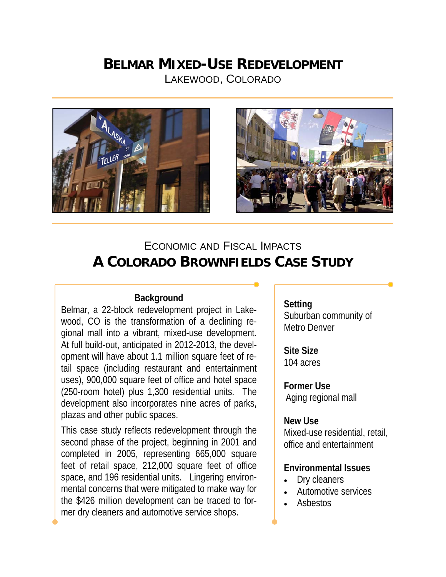## **BELMAR MIXED-USE REDEVELOPMENT** LAKEWOOD, COLORADO





# ECONOMIC AND FISCAL IMPACTS **A COLORADO BROWNFIELDS CASE STUDY**

## **Background**

Belmar, a 22-block redevelopment project in Lakewood, CO is the transformation of a declining regional mall into a vibrant, mixed-use development. At full build-out, anticipated in 2012-2013, the development will have about 1.1 million square feet of retail space (including restaurant and entertainment uses), 900,000 square feet of office and hotel space (250-room hotel) plus 1,300 residential units. The development also incorporates nine acres of parks, plazas and other public spaces.

This case study reflects redevelopment through the second phase of the project, beginning in 2001 and completed in 2005, representing 665,000 square feet of retail space, 212,000 square feet of office space, and 196 residential units. Lingering environmental concerns that were mitigated to make way for the \$426 million development can be traced to former dry cleaners and automotive service shops.

**Setting**  Suburban community of Metro Denver

**Site Size**  104 acres

**Former Use**  Aging regional mall

#### **New Use**

Mixed-use residential, retail, office and entertainment

## **Environmental Issues**

- Dry cleaners
- Automotive services
- Asbestos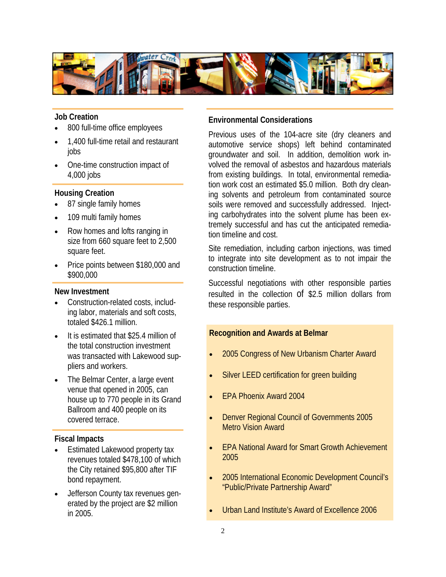

#### **Job Creation**

- 800 full-time office employees
- 1,400 full-time retail and restaurant jobs
- One-time construction impact of 4,000 jobs

#### **Housing Creation**

- 87 single family homes
- 109 multi family homes
- Row homes and lofts ranging in size from 660 square feet to 2,500 square feet.
- Price points between \$180,000 and \$900,000

#### **New Investment**

- Construction-related costs, including labor, materials and soft costs, totaled \$426.1 million.
- It is estimated that \$25.4 million of the total construction investment was transacted with Lakewood suppliers and workers.
- The Belmar Center, a large event venue that opened in 2005, can house up to 770 people in its Grand Ballroom and 400 people on its covered terrace.

#### **Fiscal Impacts**

- Estimated Lakewood property tax revenues totaled \$478,100 of which the City retained \$95,800 after TIF bond repayment.
- Jefferson County tax revenues generated by the project are \$2 million in 2005.

### **Environmental Considerations**

Previous uses of the 104-acre site (dry cleaners and automotive service shops) left behind contaminated groundwater and soil. In addition, demolition work involved the removal of asbestos and hazardous materials from existing buildings. In total, environmental remediation work cost an estimated \$5.0 million. Both dry cleaning solvents and petroleum from contaminated source soils were removed and successfully addressed. Injecting carbohydrates into the solvent plume has been extremely successful and has cut the anticipated remediation timeline and cost.

Site remediation, including carbon injections, was timed to integrate into site development as to not impair the construction timeline.

Successful negotiations with other responsible parties resulted in the collection of \$2.5 million dollars from these responsible parties.

#### **Recognition and Awards at Belmar**

- 2005 Congress of New Urbanism Charter Award
- Silver LEED certification for green building
- EPA Phoenix Award 2004
- Denver Regional Council of Governments 2005 Metro Vision Award
- EPA National Award for Smart Growth Achievement 2005
- 2005 International Economic Development Council's "Public/Private Partnership Award"
- Urban Land Institute's Award of Excellence 2006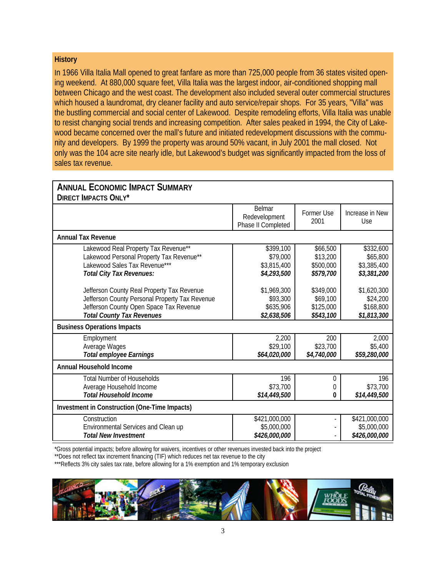#### **History**

In 1966 Villa Italia Mall opened to great fanfare as more than 725,000 people from 36 states visited opening weekend. At 880,000 square feet, Villa Italia was the largest indoor, air-conditioned shopping mall between Chicago and the west coast. The development also included several outer commercial structures which housed a laundromat, dry cleaner facility and auto service/repair shops. For 35 years, "Villa" was the bustling commercial and social center of Lakewood. Despite remodeling efforts, Villa Italia was unable to resist changing social trends and increasing competition. After sales peaked in 1994, the City of Lakewood became concerned over the mall's future and initiated redevelopment discussions with the community and developers. By 1999 the property was around 50% vacant, in July 2001 the mall closed. Not only was the 104 acre site nearly idle, but Lakewood's budget was significantly impacted from the loss of sales tax revenue.

| <b>ANNUAL ECONOMIC IMPACT SUMMARY</b>                                                                                                                                       |                                                      |                                                 |                                                     |
|-----------------------------------------------------------------------------------------------------------------------------------------------------------------------------|------------------------------------------------------|-------------------------------------------------|-----------------------------------------------------|
| <b>DIRECT IMPACTS ONLY*</b>                                                                                                                                                 |                                                      |                                                 |                                                     |
|                                                                                                                                                                             | <b>Belmar</b><br>Redevelopment<br>Phase II Completed | Former Use<br>2001                              | Increase in New<br>Use                              |
| <b>Annual Tax Revenue</b>                                                                                                                                                   |                                                      |                                                 |                                                     |
| Lakewood Real Property Tax Revenue**<br>Lakewood Personal Property Tax Revenue**<br>Lakewood Sales Tax Revenue***<br>Total City Tax Revenues:                               | \$399,100<br>\$79,000<br>\$3,815,400<br>\$4,293,500  | \$66,500<br>\$13,200<br>\$500,000<br>\$579,700  | \$332,600<br>\$65,800<br>\$3,385,400<br>\$3,381,200 |
| Jefferson County Real Property Tax Revenue<br>Jefferson County Personal Property Tax Revenue<br>Jefferson County Open Space Tax Revenue<br><b>Total County Tax Revenues</b> | \$1,969,300<br>\$93,300<br>\$635,906<br>\$2,638,506  | \$349,000<br>\$69,100<br>\$125,000<br>\$543,100 | \$1,620,300<br>\$24,200<br>\$168,800<br>\$1,813,300 |
| <b>Business Operations Impacts</b>                                                                                                                                          |                                                      |                                                 |                                                     |
| Employment<br>Average Wages<br><b>Total employee Earnings</b>                                                                                                               | 2,200<br>\$29,100<br>\$64,020,000                    | 200<br>\$23,700<br>\$4,740,000                  | 2,000<br>\$5,400<br>\$59,280,000                    |
| Annual Household Income                                                                                                                                                     |                                                      |                                                 |                                                     |
| <b>Total Number of Households</b><br>Average Household Income<br><b>Total Household Income</b>                                                                              | 196<br>\$73,700<br>\$14,449,500                      | $\overline{0}$<br>0<br>0                        | 196<br>\$73,700<br>\$14,449,500                     |
| Investment in Construction (One-Time Impacts)                                                                                                                               |                                                      |                                                 |                                                     |
| Construction<br>Environmental Services and Clean up<br><b>Total New Investment</b>                                                                                          | \$421,000,000<br>\$5,000,000<br>\$426,000,000        | $\overline{\phantom{0}}$                        | \$421,000,000<br>\$5,000,000<br>\$426,000,000       |

\*Gross potential impacts; before allowing for waivers, incentives or other revenues invested back into the project

\*\*Does not reflect tax increment financing (TIF) which reduces net tax revenue to the city

\*\*\*Reflects 3% city sales tax rate, before allowing for a 1% exemption and 1% temporary exclusion